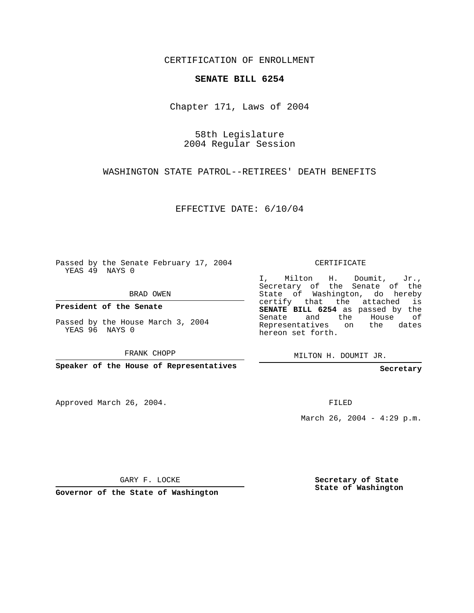CERTIFICATION OF ENROLLMENT

## **SENATE BILL 6254**

Chapter 171, Laws of 2004

58th Legislature 2004 Regular Session

WASHINGTON STATE PATROL--RETIREES' DEATH BENEFITS

EFFECTIVE DATE: 6/10/04

Passed by the Senate February 17, 2004 YEAS 49 NAYS 0

BRAD OWEN

**President of the Senate**

Passed by the House March 3, 2004 YEAS 96 NAYS 0

FRANK CHOPP

**Speaker of the House of Representatives**

Approved March 26, 2004.

CERTIFICATE

I, Milton H. Doumit, Jr., Secretary of the Senate of the State of Washington, do hereby certify that the attached is **SENATE BILL 6254** as passed by the Senate and the House of Representatives on the dates hereon set forth.

MILTON H. DOUMIT JR.

**Secretary**

FILED

March 26, 2004 -  $4:29$  p.m.

GARY F. LOCKE

**Governor of the State of Washington**

**Secretary of State State of Washington**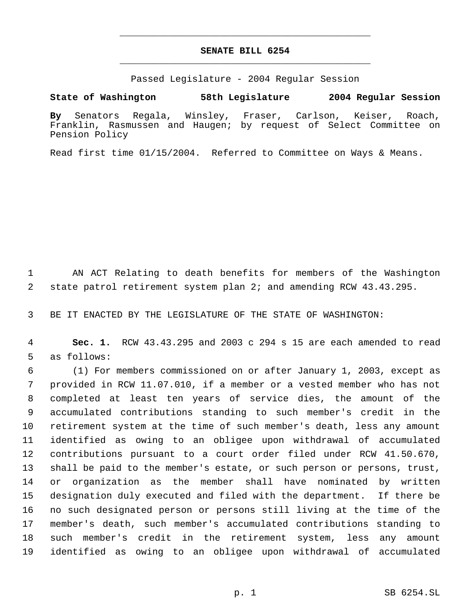## **SENATE BILL 6254** \_\_\_\_\_\_\_\_\_\_\_\_\_\_\_\_\_\_\_\_\_\_\_\_\_\_\_\_\_\_\_\_\_\_\_\_\_\_\_\_\_\_\_\_\_

\_\_\_\_\_\_\_\_\_\_\_\_\_\_\_\_\_\_\_\_\_\_\_\_\_\_\_\_\_\_\_\_\_\_\_\_\_\_\_\_\_\_\_\_\_

Passed Legislature - 2004 Regular Session

**State of Washington 58th Legislature 2004 Regular Session**

**By** Senators Regala, Winsley, Fraser, Carlson, Keiser, Roach, Franklin, Rasmussen and Haugen; by request of Select Committee on Pension Policy

Read first time 01/15/2004. Referred to Committee on Ways & Means.

 AN ACT Relating to death benefits for members of the Washington state patrol retirement system plan 2; and amending RCW 43.43.295.

BE IT ENACTED BY THE LEGISLATURE OF THE STATE OF WASHINGTON:

 **Sec. 1.** RCW 43.43.295 and 2003 c 294 s 15 are each amended to read as follows:

 (1) For members commissioned on or after January 1, 2003, except as provided in RCW 11.07.010, if a member or a vested member who has not completed at least ten years of service dies, the amount of the accumulated contributions standing to such member's credit in the retirement system at the time of such member's death, less any amount identified as owing to an obligee upon withdrawal of accumulated contributions pursuant to a court order filed under RCW 41.50.670, shall be paid to the member's estate, or such person or persons, trust, or organization as the member shall have nominated by written designation duly executed and filed with the department. If there be no such designated person or persons still living at the time of the member's death, such member's accumulated contributions standing to such member's credit in the retirement system, less any amount identified as owing to an obligee upon withdrawal of accumulated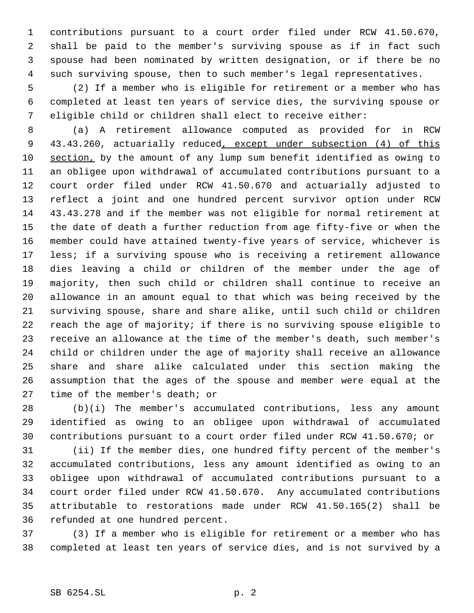contributions pursuant to a court order filed under RCW 41.50.670, shall be paid to the member's surviving spouse as if in fact such spouse had been nominated by written designation, or if there be no such surviving spouse, then to such member's legal representatives.

 (2) If a member who is eligible for retirement or a member who has completed at least ten years of service dies, the surviving spouse or eligible child or children shall elect to receive either:

 (a) A retirement allowance computed as provided for in RCW 9 43.43.260, actuarially reduced, except under subsection (4) of this section, by the amount of any lump sum benefit identified as owing to an obligee upon withdrawal of accumulated contributions pursuant to a court order filed under RCW 41.50.670 and actuarially adjusted to reflect a joint and one hundred percent survivor option under RCW 43.43.278 and if the member was not eligible for normal retirement at the date of death a further reduction from age fifty-five or when the member could have attained twenty-five years of service, whichever is less; if a surviving spouse who is receiving a retirement allowance dies leaving a child or children of the member under the age of majority, then such child or children shall continue to receive an allowance in an amount equal to that which was being received by the surviving spouse, share and share alike, until such child or children reach the age of majority; if there is no surviving spouse eligible to receive an allowance at the time of the member's death, such member's child or children under the age of majority shall receive an allowance share and share alike calculated under this section making the assumption that the ages of the spouse and member were equal at the time of the member's death; or

 (b)(i) The member's accumulated contributions, less any amount identified as owing to an obligee upon withdrawal of accumulated contributions pursuant to a court order filed under RCW 41.50.670; or

 (ii) If the member dies, one hundred fifty percent of the member's accumulated contributions, less any amount identified as owing to an obligee upon withdrawal of accumulated contributions pursuant to a court order filed under RCW 41.50.670. Any accumulated contributions attributable to restorations made under RCW 41.50.165(2) shall be refunded at one hundred percent.

 (3) If a member who is eligible for retirement or a member who has completed at least ten years of service dies, and is not survived by a